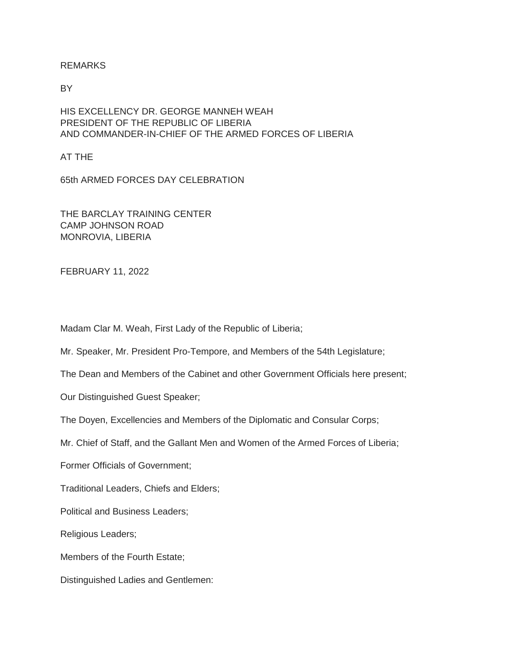# REMARKS

BY

HIS EXCELLENCY DR. GEORGE MANNEH WEAH PRESIDENT OF THE REPUBLIC OF LIBERIA AND COMMANDER-IN-CHIEF OF THE ARMED FORCES OF LIBERIA

AT THE

65th ARMED FORCES DAY CELEBRATION

THE BARCLAY TRAINING CENTER CAMP JOHNSON ROAD MONROVIA, LIBERIA

FEBRUARY 11, 2022

Madam Clar M. Weah, First Lady of the Republic of Liberia;

Mr. Speaker, Mr. President Pro-Tempore, and Members of the 54th Legislature;

The Dean and Members of the Cabinet and other Government Officials here present;

Our Distinguished Guest Speaker;

The Doyen, Excellencies and Members of the Diplomatic and Consular Corps;

Mr. Chief of Staff, and the Gallant Men and Women of the Armed Forces of Liberia;

Former Officials of Government;

Traditional Leaders, Chiefs and Elders;

Political and Business Leaders;

Religious Leaders;

Members of the Fourth Estate;

Distinguished Ladies and Gentlemen: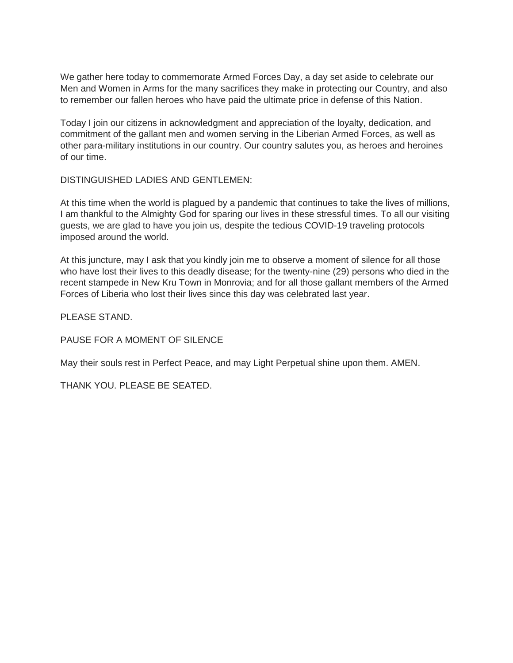We gather here today to commemorate Armed Forces Day, a day set aside to celebrate our Men and Women in Arms for the many sacrifices they make in protecting our Country, and also to remember our fallen heroes who have paid the ultimate price in defense of this Nation.

Today I join our citizens in acknowledgment and appreciation of the loyalty, dedication, and commitment of the gallant men and women serving in the Liberian Armed Forces, as well as other para-military institutions in our country. Our country salutes you, as heroes and heroines of our time.

DISTINGUISHED LADIES AND GENTLEMEN:

At this time when the world is plagued by a pandemic that continues to take the lives of millions, I am thankful to the Almighty God for sparing our lives in these stressful times. To all our visiting guests, we are glad to have you join us, despite the tedious COVID-19 traveling protocols imposed around the world.

At this juncture, may I ask that you kindly join me to observe a moment of silence for all those who have lost their lives to this deadly disease; for the twenty-nine (29) persons who died in the recent stampede in New Kru Town in Monrovia; and for all those gallant members of the Armed Forces of Liberia who lost their lives since this day was celebrated last year.

PLEASE STAND.

PAUSE FOR A MOMENT OF SILENCE

May their souls rest in Perfect Peace, and may Light Perpetual shine upon them. AMEN.

THANK YOU. PLEASE BE SEATED.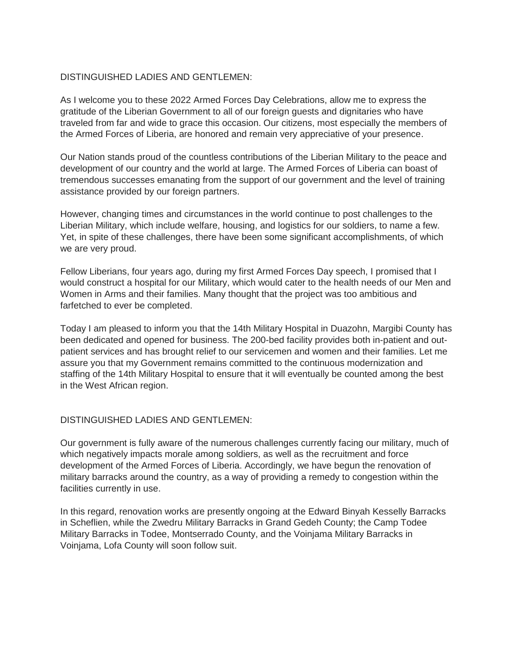# DISTINGUISHED LADIES AND GENTLEMEN:

As I welcome you to these 2022 Armed Forces Day Celebrations, allow me to express the gratitude of the Liberian Government to all of our foreign guests and dignitaries who have traveled from far and wide to grace this occasion. Our citizens, most especially the members of the Armed Forces of Liberia, are honored and remain very appreciative of your presence.

Our Nation stands proud of the countless contributions of the Liberian Military to the peace and development of our country and the world at large. The Armed Forces of Liberia can boast of tremendous successes emanating from the support of our government and the level of training assistance provided by our foreign partners.

However, changing times and circumstances in the world continue to post challenges to the Liberian Military, which include welfare, housing, and logistics for our soldiers, to name a few. Yet, in spite of these challenges, there have been some significant accomplishments, of which we are very proud.

Fellow Liberians, four years ago, during my first Armed Forces Day speech, I promised that I would construct a hospital for our Military, which would cater to the health needs of our Men and Women in Arms and their families. Many thought that the project was too ambitious and farfetched to ever be completed.

Today I am pleased to inform you that the 14th Military Hospital in Duazohn, Margibi County has been dedicated and opened for business. The 200-bed facility provides both in-patient and outpatient services and has brought relief to our servicemen and women and their families. Let me assure you that my Government remains committed to the continuous modernization and staffing of the 14th Military Hospital to ensure that it will eventually be counted among the best in the West African region.

#### DISTINGUISHED LADIES AND GENTLEMEN:

Our government is fully aware of the numerous challenges currently facing our military, much of which negatively impacts morale among soldiers, as well as the recruitment and force development of the Armed Forces of Liberia. Accordingly, we have begun the renovation of military barracks around the country, as a way of providing a remedy to congestion within the facilities currently in use.

In this regard, renovation works are presently ongoing at the Edward Binyah Kesselly Barracks in Scheflien, while the Zwedru Military Barracks in Grand Gedeh County; the Camp Todee Military Barracks in Todee, Montserrado County, and the Voinjama Military Barracks in Voinjama, Lofa County will soon follow suit.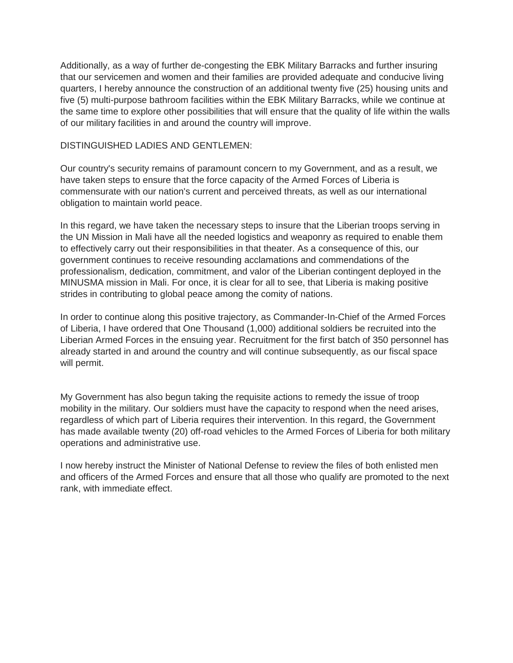Additionally, as a way of further de-congesting the EBK Military Barracks and further insuring that our servicemen and women and their families are provided adequate and conducive living quarters, I hereby announce the construction of an additional twenty five (25) housing units and five (5) multi-purpose bathroom facilities within the EBK Military Barracks, while we continue at the same time to explore other possibilities that will ensure that the quality of life within the walls of our military facilities in and around the country will improve.

### DISTINGUISHED LADIES AND GENTLEMEN:

Our country's security remains of paramount concern to my Government, and as a result, we have taken steps to ensure that the force capacity of the Armed Forces of Liberia is commensurate with our nation's current and perceived threats, as well as our international obligation to maintain world peace.

In this regard, we have taken the necessary steps to insure that the Liberian troops serving in the UN Mission in Mali have all the needed logistics and weaponry as required to enable them to effectively carry out their responsibilities in that theater. As a consequence of this, our government continues to receive resounding acclamations and commendations of the professionalism, dedication, commitment, and valor of the Liberian contingent deployed in the MINUSMA mission in Mali. For once, it is clear for all to see, that Liberia is making positive strides in contributing to global peace among the comity of nations.

In order to continue along this positive trajectory, as Commander-In-Chief of the Armed Forces of Liberia, I have ordered that One Thousand (1,000) additional soldiers be recruited into the Liberian Armed Forces in the ensuing year. Recruitment for the first batch of 350 personnel has already started in and around the country and will continue subsequently, as our fiscal space will permit.

My Government has also begun taking the requisite actions to remedy the issue of troop mobility in the military. Our soldiers must have the capacity to respond when the need arises, regardless of which part of Liberia requires their intervention. In this regard, the Government has made available twenty (20) off-road vehicles to the Armed Forces of Liberia for both military operations and administrative use.

I now hereby instruct the Minister of National Defense to review the files of both enlisted men and officers of the Armed Forces and ensure that all those who qualify are promoted to the next rank, with immediate effect.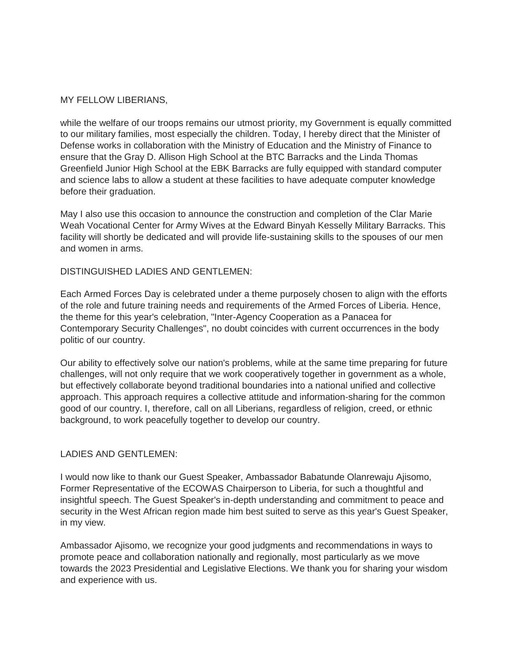# MY FELLOW LIBERIANS,

while the welfare of our troops remains our utmost priority, my Government is equally committed to our military families, most especially the children. Today, I hereby direct that the Minister of Defense works in collaboration with the Ministry of Education and the Ministry of Finance to ensure that the Gray D. Allison High School at the BTC Barracks and the Linda Thomas Greenfield Junior High School at the EBK Barracks are fully equipped with standard computer and science labs to allow a student at these facilities to have adequate computer knowledge before their graduation.

May I also use this occasion to announce the construction and completion of the Clar Marie Weah Vocational Center for Army Wives at the Edward Binyah Kesselly Military Barracks. This facility will shortly be dedicated and will provide life-sustaining skills to the spouses of our men and women in arms.

## DISTINGUISHED LADIES AND GENTLEMEN:

Each Armed Forces Day is celebrated under a theme purposely chosen to align with the efforts of the role and future training needs and requirements of the Armed Forces of Liberia. Hence, the theme for this year's celebration, "Inter-Agency Cooperation as a Panacea for Contemporary Security Challenges", no doubt coincides with current occurrences in the body politic of our country.

Our ability to effectively solve our nation's problems, while at the same time preparing for future challenges, will not only require that we work cooperatively together in government as a whole, but effectively collaborate beyond traditional boundaries into a national unified and collective approach. This approach requires a collective attitude and information-sharing for the common good of our country. I, therefore, call on all Liberians, regardless of religion, creed, or ethnic background, to work peacefully together to develop our country.

# LADIES AND GENTLEMEN:

I would now like to thank our Guest Speaker, Ambassador Babatunde Olanrewaju Ajisomo, Former Representative of the ECOWAS Chairperson to Liberia, for such a thoughtful and insightful speech. The Guest Speaker's in-depth understanding and commitment to peace and security in the West African region made him best suited to serve as this year's Guest Speaker, in my view.

Ambassador Ajisomo, we recognize your good judgments and recommendations in ways to promote peace and collaboration nationally and regionally, most particularly as we move towards the 2023 Presidential and Legislative Elections. We thank you for sharing your wisdom and experience with us.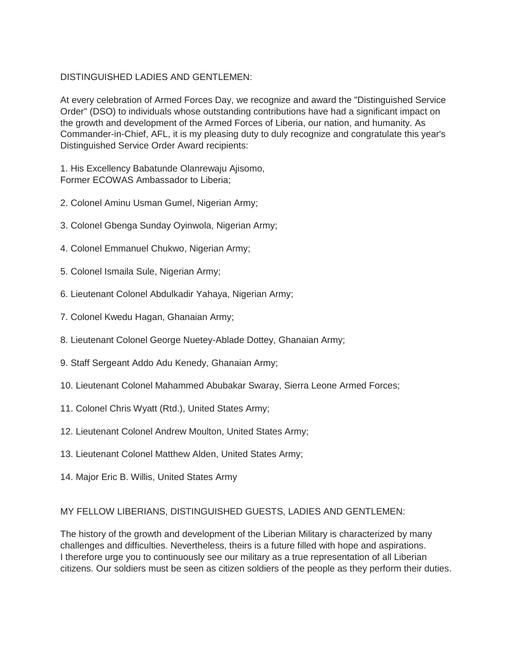# DISTINGUISHED LADIES AND GENTLEMEN:

At every celebration of Armed Forces Day, we recognize and award the "Distinguished Service Order" (DSO) to individuals whose outstanding contributions have had a significant impact on the growth and development of the Armed Forces of Liberia, our nation, and humanity. As Commander-in-Chief, AFL, it is my pleasing duty to duly recognize and congratulate this year's Distinguished Service Order Award recipients:

1. His Excellency Babatunde Olanrewaju Ajisomo, Former ECOWAS Ambassador to Liberia;

- 2. Colonel Aminu Usman Gumel, Nigerian Army;
- 3. Colonel Gbenga Sunday Oyinwola, Nigerian Army;
- 4. Colonel Emmanuel Chukwo, Nigerian Army;
- 5. Colonel Ismaila Sule, Nigerian Army;
- 6. Lieutenant Colonel Abdulkadir Yahaya, Nigerian Army;
- 7. Colonel Kwedu Hagan, Ghanaian Army;
- 8. Lieutenant Colonel George Nuetey-Ablade Dottey, Ghanaian Army;
- 9. Staff Sergeant Addo Adu Kenedy, Ghanaian Army;
- 10. Lieutenant Colonel Mahammed Abubakar Swaray, Sierra Leone Armed Forces;
- 11. Colonel Chris Wyatt (Rtd.), United States Army;
- 12. Lieutenant Colonel Andrew Moulton, United States Army;
- 13. Lieutenant Colonel Matthew Alden, United States Army;
- 14. Major Eric B. Willis, United States Army

#### MY FELLOW LIBERIANS, DISTINGUISHED GUESTS, LADIES AND GENTLEMEN:

The history of the growth and development of the Liberian Military is characterized by many challenges and difficulties. Nevertheless, theirs is a future filled with hope and aspirations. I therefore urge you to continuously see our military as a true representation of all Liberian citizens. Our soldiers must be seen as citizen soldiers of the people as they perform their duties.